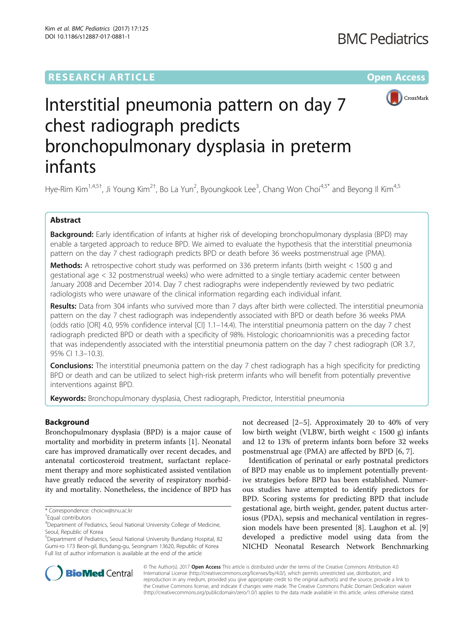## **RESEARCH ARTICLE External Structure Community Community Community Community Community Community Community Community**



# Interstitial pneumonia pattern on day 7 chest radiograph predicts bronchopulmonary dysplasia in preterm infants

Hye-Rim Kim<sup>1,4,5†</sup>, Ji Young Kim<sup>2†</sup>, Bo La Yun<sup>2</sup>, Byoungkook Lee<sup>3</sup>, Chang Won Choi<sup>4,5\*</sup> and Beyong Il Kim<sup>4,5</sup>

## Abstract

Background: Early identification of infants at higher risk of developing bronchopulmonary dysplasia (BPD) may enable a targeted approach to reduce BPD. We aimed to evaluate the hypothesis that the interstitial pneumonia pattern on the day 7 chest radiograph predicts BPD or death before 36 weeks postmenstrual age (PMA).

Methods: A retrospective cohort study was performed on 336 preterm infants (birth weight < 1500 g and gestational age < 32 postmenstrual weeks) who were admitted to a single tertiary academic center between January 2008 and December 2014. Day 7 chest radiographs were independently reviewed by two pediatric radiologists who were unaware of the clinical information regarding each individual infant.

Results: Data from 304 infants who survived more than 7 days after birth were collected. The interstitial pneumonia pattern on the day 7 chest radiograph was independently associated with BPD or death before 36 weeks PMA (odds ratio [OR] 4.0, 95% confidence interval [CI] 1.1–14.4). The interstitial pneumonia pattern on the day 7 chest radiograph predicted BPD or death with a specificity of 98%. Histologic chorioamnionitis was a preceding factor that was independently associated with the interstitial pneumonia pattern on the day 7 chest radiograph (OR 3.7, 95% CI 1.3–10.3).

**Conclusions:** The interstitial pneumonia pattern on the day 7 chest radiograph has a high specificity for predicting BPD or death and can be utilized to select high-risk preterm infants who will benefit from potentially preventive interventions against BPD.

Keywords: Bronchopulmonary dysplasia, Chest radiograph, Predictor, Interstitial pneumonia

## Background

Bronchopulmonary dysplasia (BPD) is a major cause of mortality and morbidity in preterm infants [\[1](#page-6-0)]. Neonatal care has improved dramatically over recent decades, and antenatal corticosteroid treatment, surfactant replacement therapy and more sophisticated assisted ventilation have greatly reduced the severity of respiratory morbidity and mortality. Nonetheless, the incidence of BPD has

\* Correspondence: [choicw@snu.ac.kr](mailto:choicw@snu.ac.kr) †

not decreased [\[2](#page-6-0)–[5](#page-6-0)]. Approximately 20 to 40% of very low birth weight (VLBW, birth weight < 1500 g) infants and 12 to 13% of preterm infants born before 32 weeks postmenstrual age (PMA) are affected by BPD [\[6](#page-6-0), [7](#page-6-0)].

Identification of perinatal or early postnatal predictors of BPD may enable us to implement potentially preventive strategies before BPD has been established. Numerous studies have attempted to identify predictors for BPD. Scoring systems for predicting BPD that include gestational age, birth weight, gender, patent ductus arteriosus (PDA), sepsis and mechanical ventilation in regression models have been presented [[8\]](#page-6-0). Laughon et al. [\[9](#page-7-0)] developed a predictive model using data from the NICHD Neonatal Research Network Benchmarking



© The Author(s). 2017 **Open Access** This article is distributed under the terms of the Creative Commons Attribution 4.0 International License [\(http://creativecommons.org/licenses/by/4.0/](http://creativecommons.org/licenses/by/4.0/)), which permits unrestricted use, distribution, and reproduction in any medium, provided you give appropriate credit to the original author(s) and the source, provide a link to the Creative Commons license, and indicate if changes were made. The Creative Commons Public Domain Dedication waiver [\(http://creativecommons.org/publicdomain/zero/1.0/](http://creativecommons.org/publicdomain/zero/1.0/)) applies to the data made available in this article, unless otherwise stated.

Equal contributors

<sup>&</sup>lt;sup>4</sup>Department of Pediatrics, Seoul National University College of Medicine, Seoul, Republic of Korea

<sup>5</sup> Department of Pediatrics, Seoul National University Bundang Hospital, 82 Gumi-ro 173 Beon-gil, Bundang-gu, Seongnam 13620, Republic of Korea Full list of author information is available at the end of the article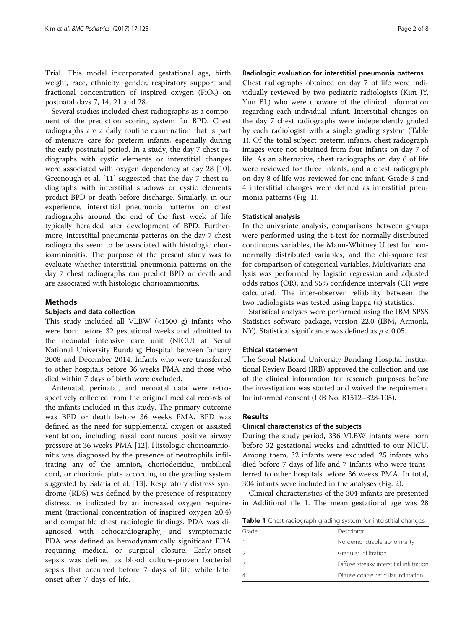Trial. This model incorporated gestational age, birth weight, race, ethnicity, gender, respiratory support and fractional concentration of inspired oxygen (FiO<sub>2</sub>) on postnatal days 7, 14, 21 and 28.

Several studies included chest radiographs as a component of the prediction scoring system for BPD. Chest radiographs are a daily routine examination that is part of intensive care for preterm infants, especially during the early postnatal period. In a study, the day 7 chest radiographs with cystic elements or interstitial changes were associated with oxygen dependency at day 28 [\[10](#page-7-0)]. Greenough et al. [[11\]](#page-7-0) suggested that the day 7 chest radiographs with interstitial shadows or cystic elements predict BPD or death before discharge. Similarly, in our experience, interstitial pneumonia patterns on chest radiographs around the end of the first week of life typically heralded later development of BPD. Furthermore, interstitial pneumonia patterns on the day 7 chest radiographs seem to be associated with histologic chorioamnionitis. The purpose of the present study was to evaluate whether interstitial pneumonia patterns on the day 7 chest radiographs can predict BPD or death and are associated with histologic chorioamnionitis.

## Methods

## Subjects and data collection

This study included all VLBW (<1500 g) infants who were born before 32 gestational weeks and admitted to the neonatal intensive care unit (NICU) at Seoul National University Bundang Hospital between January 2008 and December 2014. Infants who were transferred to other hospitals before 36 weeks PMA and those who died within 7 days of birth were excluded.

Antenatal, perinatal, and neonatal data were retrospectively collected from the original medical records of the infants included in this study. The primary outcome was BPD or death before 36 weeks PMA. BPD was defined as the need for supplemental oxygen or assisted ventilation, including nasal continuous positive airway pressure at 36 weeks PMA [[12](#page-7-0)]. Histologic chorioamnionitis was diagnosed by the presence of neutrophils infiltrating any of the amnion, choriodecidua, umbilical cord, or chorionic plate according to the grading system suggested by Salafia et al. [\[13](#page-7-0)]. Respiratory distress syndrome (RDS) was defined by the presence of respiratory distress, as indicated by an increased oxygen requirement (fractional concentration of inspired oxygen  $\geq 0.4$ ) and compatible chest radiologic findings. PDA was diagnosed with echocardiography, and symptomatic PDA was defined as hemodynamically significant PDA requiring medical or surgical closure. Early-onset sepsis was defined as blood culture-proven bacterial sepsis that occurred before 7 days of life while lateonset after 7 days of life.

## Radiologic evaluation for interstitial pneumonia patterns

Chest radiographs obtained on day 7 of life were individually reviewed by two pediatric radiologists (Kim JY, Yun BL) who were unaware of the clinical information regarding each individual infant. Interstitial changes on the day 7 chest radiographs were independently graded by each radiologist with a single grading system (Table 1). Of the total subject preterm infants, chest radiograph images were not obtained from four infants on day 7 of life. As an alternative, chest radiographs on day 6 of life were reviewed for three infants, and a chest radiograph on day 8 of life was reviewed for one infant. Grade 3 and 4 interstitial changes were defined as interstitial pneumonia patterns (Fig. [1](#page-2-0)).

#### Statistical analysis

In the univariate analysis, comparisons between groups were performed using the t-test for normally distributed continuous variables, the Mann-Whitney U test for nonnormally distributed variables, and the chi-square test for comparison of categorical variables. Multivariate analysis was performed by logistic regression and adjusted odds ratios (OR), and 95% confidence intervals (CI) were calculated. The inter-observer reliability between the two radiologists was tested using kappa (κ) statistics.

Statistical analyses were performed using the IBM SPSS Statistics software package, version 22.0 (IBM, Armonk, NY). Statistical significance was defined as  $p < 0.05$ .

## Ethical statement

The Seoul National University Bundang Hospital Institutional Review Board (IRB) approved the collection and use of the clinical information for research purposes before the investigation was started and waived the requirement for informed consent (IRB No. B1512–328-105).

## Results

## Clinical characteristics of the subjects

During the study period, 336 VLBW infants were born before 32 gestational weeks and admitted to our NICU. Among them, 32 infants were excluded: 25 infants who died before 7 days of life and 7 infants who were transferred to other hospitals before 36 weeks PMA. In total, 304 infants were included in the analyses (Fig. [2\)](#page-2-0).

Clinical characteristics of the 304 infants are presented in Additional file [1](#page-6-0). The mean gestational age was 28

**Table 1** Chest radiograph grading system for interstitial changes

| Grade | Descriptor                                |
|-------|-------------------------------------------|
|       | No demonstrable abnormality               |
|       | Granular infiltration                     |
|       | Diffuse streaky interstitial infiltration |
|       | Diffuse coarse reticular infiltration     |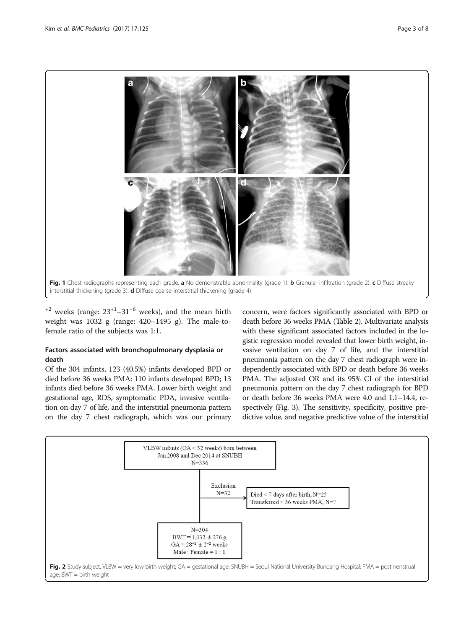<span id="page-2-0"></span>

 $+2$  weeks (range:  $23+1-31+6$  weeks), and the mean birth weight was 1032 g (range: 420–1495 g). The male-tofemale ratio of the subjects was 1:1.

## Factors associated with bronchopulmonary dysplasia or death

Of the 304 infants, 123 (40.5%) infants developed BPD or died before 36 weeks PMA: 110 infants developed BPD; 13 infants died before 36 weeks PMA. Lower birth weight and gestational age, RDS, symptomatic PDA, invasive ventilation on day 7 of life, and the interstitial pneumonia pattern on the day 7 chest radiograph, which was our primary concern, were factors significantly associated with BPD or death before 36 weeks PMA (Table [2\)](#page-3-0). Multivariate analysis with these significant associated factors included in the logistic regression model revealed that lower birth weight, invasive ventilation on day 7 of life, and the interstitial pneumonia pattern on the day 7 chest radiograph were independently associated with BPD or death before 36 weeks PMA. The adjusted OR and its 95% CI of the interstitial pneumonia pattern on the day 7 chest radiograph for BPD or death before 36 weeks PMA were 4.0 and 1.1–14.4, respectively (Fig. [3\)](#page-3-0). The sensitivity, specificity, positive predictive value, and negative predictive value of the interstitial

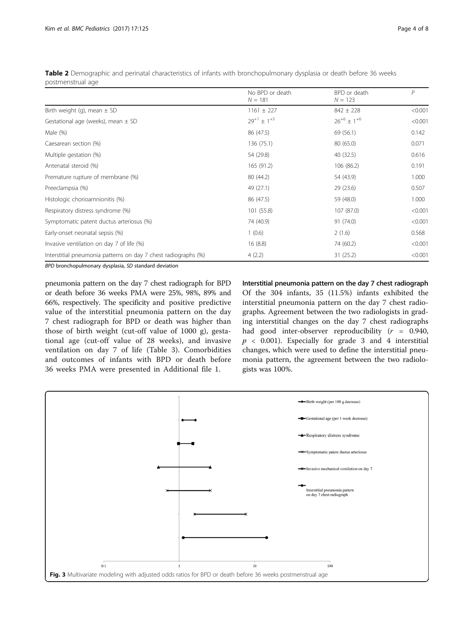| No BPD or death<br>$N = 181$ | BPD or death<br>$N = 123$ | P       |
|------------------------------|---------------------------|---------|
| $1161 \pm 227$               | $842 \pm 228$             | < 0.001 |
| $29^{+1} \pm 1^{+5}$         | $26^{+6} \pm 1^{+6}$      | < 0.001 |
| 86 (47.5)                    | 69 (56.1)                 | 0.142   |
| 136 (75.1)                   | 80 (65.0)                 | 0.071   |
| 54 (29.8)                    | 40 (32.5)                 | 0.616   |
| 165 (91.2)                   | 106 (86.2)                | 0.191   |
| 80 (44.2)                    | 54 (43.9)                 | 1.000   |
| 49 (27.1)                    | 29(23.6)                  | 0.507   |
| 86 (47.5)                    | 59 (48.0)                 | 1.000   |
| 101 (55.8)                   | 107 (87.0)                | < 0.001 |
| 74 (40.9)                    | 91 (74.0)                 | < 0.001 |
| 1(0.6)                       | 2(1.6)                    | 0.568   |
| 16(8.8)                      | 74 (60.2)                 | < 0.001 |
| 4(2.2)                       | 31 (25.2)                 | < 0.001 |
|                              |                           |         |

<span id="page-3-0"></span>Table 2 Demographic and perinatal characteristics of infants with bronchopulmonary dysplasia or death before 36 weeks postmenstrual age

BPD bronchopulmonary dysplasia, SD standard deviation

pneumonia pattern on the day 7 chest radiograph for BPD or death before 36 weeks PMA were 25%, 98%, 89% and 66%, respectively. The specificity and positive predictive value of the interstitial pneumonia pattern on the day 7 chest radiograph for BPD or death was higher than those of birth weight (cut-off value of 1000 g), gestational age (cut-off value of 28 weeks), and invasive ventilation on day 7 of life (Table [3](#page-4-0)). Comorbidities and outcomes of infants with BPD or death before 36 weeks PMA were presented in Additional file [1](#page-6-0).

Interstitial pneumonia pattern on the day 7 chest radiograph Of the 304 infants, 35 (11.5%) infants exhibited the interstitial pneumonia pattern on the day 7 chest radiographs. Agreement between the two radiologists in grading interstitial changes on the day 7 chest radiographs had good inter-observer reproducibility  $(r = 0.940,$  $p \sim 0.001$ ). Especially for grade 3 and 4 interstitial changes, which were used to define the interstitial pneumonia pattern, the agreement between the two radiologists was 100%.

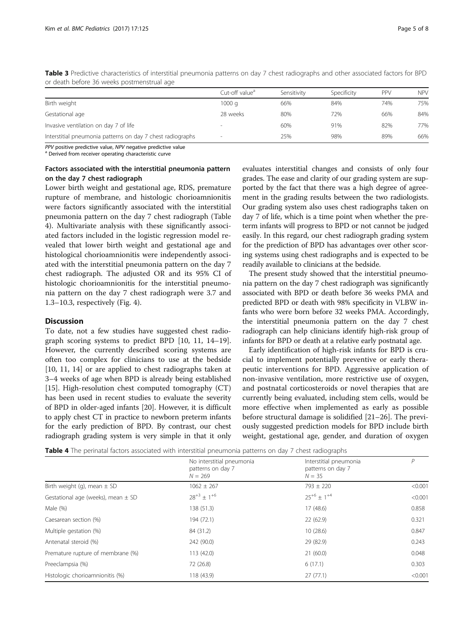|                                                            | Cut-off value <sup>a</sup> | Sensitivity | Specificity | PPV | <b>NPV</b> |
|------------------------------------------------------------|----------------------------|-------------|-------------|-----|------------|
| Birth weight                                               | 1000q                      | 66%         | 84%         | 74% | 75%        |
| Gestational age                                            | 28 weeks                   | 80%         | 72%         | 66% | 84%        |
| Invasive ventilation on day 7 of life                      | $\overline{\phantom{a}}$   | 60%         | 91%         | 82% | 77%        |
| Interstitial pneumonia patterns on day 7 chest radiographs | $\overline{\phantom{a}}$   | 25%         | 98%         | 89% | 66%        |

<span id="page-4-0"></span>Table 3 Predictive characteristics of interstitial pneumonia patterns on day 7 chest radiographs and other associated factors for BPD or death before 36 weeks postmenstrual age

 $PPV$  positive predictive value,  $NPV$  negative predictive value  $a^a$  Derived from receiver operating characteristic curve

## Factors associated with the interstitial pneumonia pattern on the day 7 chest radiograph

Lower birth weight and gestational age, RDS, premature rupture of membrane, and histologic chorioamnionitis were factors significantly associated with the interstitial pneumonia pattern on the day 7 chest radiograph (Table 4). Multivariate analysis with these significantly associated factors included in the logistic regression model revealed that lower birth weight and gestational age and histological chorioamnionitis were independently associated with the interstitial pneumonia pattern on the day 7 chest radiograph. The adjusted OR and its 95% CI of histologic chorioamnionitis for the interstitial pneumonia pattern on the day 7 chest radiograph were 3.7 and 1.3–10.3, respectively (Fig. [4\)](#page-5-0).

## **Discussion**

To date, not a few studies have suggested chest radiograph scoring systems to predict BPD [[10, 11](#page-7-0), [14](#page-7-0)–[19](#page-7-0)]. However, the currently described scoring systems are often too complex for clinicians to use at the bedside [[10, 11](#page-7-0), [14\]](#page-7-0) or are applied to chest radiographs taken at 3–4 weeks of age when BPD is already being established [[15\]](#page-7-0). High-resolution chest computed tomography (CT) has been used in recent studies to evaluate the severity of BPD in older-aged infants [\[20\]](#page-7-0). However, it is difficult to apply chest CT in practice to newborn preterm infants for the early prediction of BPD. By contrast, our chest radiograph grading system is very simple in that it only

evaluates interstitial changes and consists of only four grades. The ease and clarity of our grading system are supported by the fact that there was a high degree of agreement in the grading results between the two radiologists. Our grading system also uses chest radiographs taken on day 7 of life, which is a time point when whether the preterm infants will progress to BPD or not cannot be judged easily. In this regard, our chest radiograph grading system for the prediction of BPD has advantages over other scoring systems using chest radiographs and is expected to be readily available to clinicians at the bedside.

The present study showed that the interstitial pneumonia pattern on the day 7 chest radiograph was significantly associated with BPD or death before 36 weeks PMA and predicted BPD or death with 98% specificity in VLBW infants who were born before 32 weeks PMA. Accordingly, the interstitial pneumonia pattern on the day 7 chest radiograph can help clinicians identify high-risk group of infants for BPD or death at a relative early postnatal age.

Early identification of high-risk infants for BPD is crucial to implement potentially preventive or early therapeutic interventions for BPD. Aggressive application of non-invasive ventilation, more restrictive use of oxygen, and postnatal corticosteroids or novel therapies that are currently being evaluated, including stem cells, would be more effective when implemented as early as possible before structural damage is solidified [[21](#page-7-0)–[26](#page-7-0)]. The previously suggested prediction models for BPD include birth weight, gestational age, gender, and duration of oxygen

Table 4 The perinatal factors associated with interstitial pneumonia patterns on day 7 chest radiographs

|                                        | No interstitial pneumonia<br>patterns on day 7<br>$N = 269$ | Interstitial pneumonia<br>patterns on day 7<br>$N = 35$ | P       |
|----------------------------------------|-------------------------------------------------------------|---------------------------------------------------------|---------|
| Birth weight (g), mean $\pm$ SD        | $1062 \pm 267$                                              | $793 \pm 220$                                           | < 0.001 |
| Gestational age (weeks), mean $\pm$ SD | $28^{+3} + 1^{+6}$                                          | $25^{+6} + 1^{+4}$                                      | < 0.001 |
| Male (%)                               | 138 (51.3)                                                  | 17 (48.6)                                               | 0.858   |
| Caesarean section (%)                  | 194 (72.1)                                                  | 22(62.9)                                                | 0.321   |
| Multiple gestation (%)                 | 84 (31.2)                                                   | 10(28.6)                                                | 0.847   |
| Antenatal steroid (%)                  | 242 (90.0)                                                  | 29 (82.9)                                               | 0.243   |
| Premature rupture of membrane (%)      | 113 (42.0)                                                  | 21(60.0)                                                | 0.048   |
| Preeclampsia (%)                       | 72 (26.8)                                                   | 6(17.1)                                                 | 0.303   |
| Histologic chorioamnionitis (%)        | 118 (43.9)                                                  | 27(77.1)                                                | < 0.001 |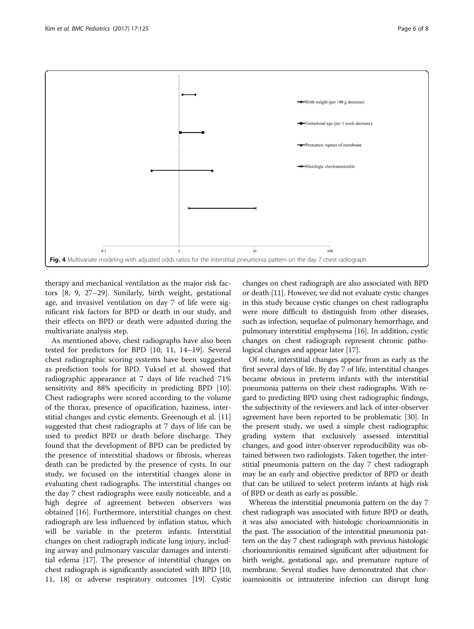<span id="page-5-0"></span>

therapy and mechanical ventilation as the major risk factors [\[8](#page-6-0), [9, 27](#page-7-0)–[29](#page-7-0)]. Similarly, birth weight, gestational age, and invasivel ventilation on day 7 of life were significant risk factors for BPD or death in our study, and their effects on BPD or death were adjusted during the multivariate analysis step.

As mentioned above, chest radiographs have also been tested for predictors for BPD [[10, 11, 14](#page-7-0)–[19](#page-7-0)]. Several chest radiographic scoring systems have been suggested as prediction tools for BPD. Yuksel et al. showed that radiographic appearance at 7 days of life reached 71% sensitivity and 88% specificity in predicting BPD [\[10](#page-7-0)]. Chest radiographs were scored according to the volume of the thorax, presence of opacification, haziness, interstitial changes and cystic elements. Greenough et al. [[11](#page-7-0)] suggested that chest radiographs at 7 days of life can be used to predict BPD or death before discharge. They found that the development of BPD can be predicted by the presence of interstitial shadows or fibrosis, whereas death can be predicted by the presence of cysts. In our study, we focused on the interstitial changes alone in evaluating chest radiographs. The interstitial changes on the day 7 chest radiographs were easily noticeable, and a high degree of agreement between observers was obtained [[16\]](#page-7-0). Furthermore, interstitial changes on chest radiograph are less influenced by inflation status, which will be variable in the preterm infants. Interstitial changes on chest radiograph indicate lung injury, including airway and pulmonary vascular damages and interstitial edema [\[17\]](#page-7-0). The presence of interstitial changes on chest radiograph is significantly associated with BPD [[10](#page-7-0), [11](#page-7-0), [18\]](#page-7-0) or adverse respiratory outcomes [[19](#page-7-0)]. Cystic

changes on chest radiograph are also associated with BPD or death [[11](#page-7-0)]. However, we did not evaluate cystic changes in this study because cystic changes on chest radiographs were more difficult to distinguish from other diseases, such as infection, sequelae of pulmonary hemorrhage, and pulmonary interstitial emphysema [[16](#page-7-0)]. In addition, cystic changes on chest radiograph represent chronic pathological changes and appear later [[17](#page-7-0)].

Of note, interstitial changes appear from as early as the first several days of life. By day 7 of life, interstitial changes became obvious in preterm infants with the interstitial pneumonia patterns on their chest radiographs. With regard to predicting BPD using chest radiographic findings, the subjectivity of the reviewers and lack of inter-observer agreement have been reported to be problematic [[30](#page-7-0)]. In the present study, we used a simple chest radiographic grading system that exclusively assessed interstitial changes, and good inter-observer reproducibility was obtained between two radiologists. Taken together, the interstitial pneumonia pattern on the day 7 chest radiograph may be an early and objective predictor of BPD or death that can be utilized to select preterm infants at high risk of BPD or death as early as possible.

Whereas the interstitial pneumonia pattern on the day 7 chest radiograph was associated with future BPD or death, it was also associated with histologic chorioamnionitis in the past. The association of the interstitial pneumonia pattern on the day 7 chest radiograph with previous histologic chorioamnionitis remained significant after adjustment for birth weight, gestational age, and premature rupture of membrane. Several studies have demonstrated that chorioamnionitis or intrauterine infection can disrupt lung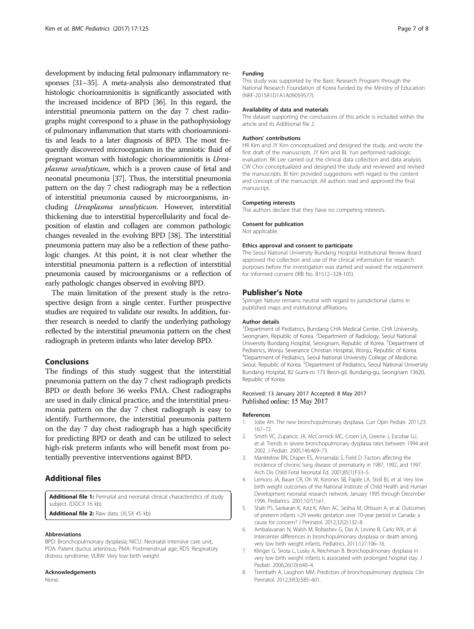<span id="page-6-0"></span>development by inducing fetal pulmonary inflammatory responses [\[31](#page-7-0)–[35](#page-7-0)]. A meta-analysis also demonstrated that histologic chorioamnionitis is significantly associated with the increased incidence of BPD [\[36\]](#page-7-0). In this regard, the interstitial pneumonia pattern on the day 7 chest radiographs might correspond to a phase in the pathophysiology of pulmonary inflammation that starts with chorioamnionitis and leads to a later diagnosis of BPD. The most frequently discovered microorganism in the amniotic fluid of pregnant woman with histologic chorioamnionitis is Ureaplasma urealyticum, which is a proven cause of fetal and neonatal pneumonia [\[37\]](#page-7-0). Thus, the interstitial pneumonia pattern on the day 7 chest radiograph may be a reflection of interstitial pneumonia caused by microorganisms, including Ureaplasma urealyticum. However, interstitial thickening due to interstitial hypercellularity and focal deposition of elastin and collagen are common pathologic changes revealed in the evolving BPD [\[38\]](#page-7-0). The interstitial pneumonia pattern may also be a reflection of these pathologic changes. At this point, it is not clear whether the interstitial pneumonia pattern is a reflection of interstitial pneumonia caused by microorganisms or a reflection of early pathologic changes observed in evolving BPD.

The main limitation of the present study is the retrospective design from a single center. Further prospective studies are required to validate our results. In addition, further research is needed to clarify the underlying pathology reflected by the interstitial pneumonia pattern on the chest radiograph in preterm infants who later develop BPD.

## Conclusions

The findings of this study suggest that the interstitial pneumonia pattern on the day 7 chest radiograph predicts BPD or death before 36 weeks PMA. Chest radiographs are used in daily clinical practice, and the interstitial pneumonia pattern on the day 7 chest radiograph is easy to identify. Furthermore, the interstitial pneumonia pattern on the day 7 day chest radiograph has a high specificity for predicting BPD or death and can be utilized to select high-risk preterm infants who will benefit most from potentially preventive interventions against BPD.

## Additional files

[Additional file 1:](dx.doi.org/10.1186/s12887-017-0881-1) Perinatal and neonatal clinical characteristics of study subject. (DOCX 16 kb)

[Additional file 2:](dx.doi.org/10.1186/s12887-017-0881-1) Raw data. (XLSX 45 kb)

#### Abbreviations

BPD: Bronchopulmonary dysplasia; NICU: Neonatal intensive care unit; PDA: Patent ductus arteriosus; PMA: Postmenstrual age; RDS: Respiratory distress syndrome; VLBW: Very low birth weight

#### Acknowledgements

None.

#### Funding

This study was supported by the Basic Research Program through the National Research Foundation of Korea funded by the Ministry of Education (NRF-2015R1D1A1A09059577).

#### Availability of data and materials

The dataset supporting the conclusions of this article is included within the article and its Additional file 2.

#### Authors' contributions

HR Kim and JY Kim conceptualized and designed the study, and wrote the first draft of the manuscripts. JY Kim and BL Yun performed radiologic evaluation. BK Lee carried out the clinical data collection and data analysis. CW Choi conceptualized and designed the study and reviewed and revised the manuscripts. BI Kim provided suggestions with regard to the content and concept of the manuscript. All authors read and approved the final manuscript.

#### Competing interests

The authors declare that they have no competing interests.

## Consent for publication

Not applicable.

#### Ethics approval and consent to participate

The Seoul National University Bundang Hospital Institutional Review Board approved the collection and use of the clinical information for research purposes before the investigation was started and waived the requirement for informed consent (IRB No. B1512–328-105).

#### Publisher's Note

Springer Nature remains neutral with regard to jurisdictional claims in published maps and institutional affiliations.

#### Author details

<sup>1</sup>Department of Pediatrics, Bundang CHA Medical Center, CHA University, Seongnam, Republic of Korea. <sup>2</sup> Department of Radiology, Seoul National University Bundang Hospital, Seongnam, Republic of Korea. <sup>3</sup>Department of Pediatrics, Wonju Severance Christian Hospital, Wonju, Republic of Korea. 4 Department of Pediatrics, Seoul National University College of Medicine, Seoul, Republic of Korea. <sup>5</sup>Department of Pediatrics, Seoul National University Bundang Hospital, 82 Gumi-ro 173 Beon-gil, Bundang-gu, Seongnam 13620, Republic of Korea.

## Received: 13 January 2017 Accepted: 8 May 2017 Published online: 15 May 2017

#### References

- 1. Jobe AH. The new bronchopulmonary dysplasia. Curr Opin Pediatr. 2011;23: 167–72.
- 2. Smith VC, Zupancic JA, McCormick MC, Croen LA, Greene J, Escobar GJ, et al. Trends in severe bronchopulmonary dysplasia rates between 1994 and 2002. J Pediatr. 2005;146:469–73.
- 3. Manktelow BN, Draper ES, Annamalai S, Field D. Factors affecting the incidence of chronic lung disease of prematurity in 1987, 1992, and 1997. Arch Dis Child Fetal Neonatal Ed. 2001;85(1):F33–5.
- 4. Lemons JA, Bauer CR, Oh W, Korones SB, Papile LA, Stoll BJ, et al. Very low birth weight outcomes of the National Institute of Child Health and Human Development neonatal research network, January 1995 through December 1996. Pediatrics. 2001;107(1):e1.
- 5. Shah PS, Sankaran K, Aziz K, Allen AC, Seshia M, Ohlsson A, et al. Outcomes of preterm infants <29 weeks gestation over 10-year period in Canada: a cause for concern? J Perinatol. 2012;32(2):132–8.
- 6. Ambalavanan N, Walsh M, Bobashev G, Das A, Levine B, Carlo WA, et al. Intercenter differences in bronchopulmonary dysplasia or death among very low birth weight infants. Pediatrics. 2011;127:106–16.
- 7. Klinger G, Sirota L, Lusky A, Reichman B. Bronchopulmonary dysplasia in very low birth weight infants is associated with prolonged hospital stay. J Pediatr. 2006;26(10):640–4.
- 8. Trembath A, Laughon MM. Predictors of bronchopulmonary dysplasia. Clin Perinatol. 2012;39(3):585–601.